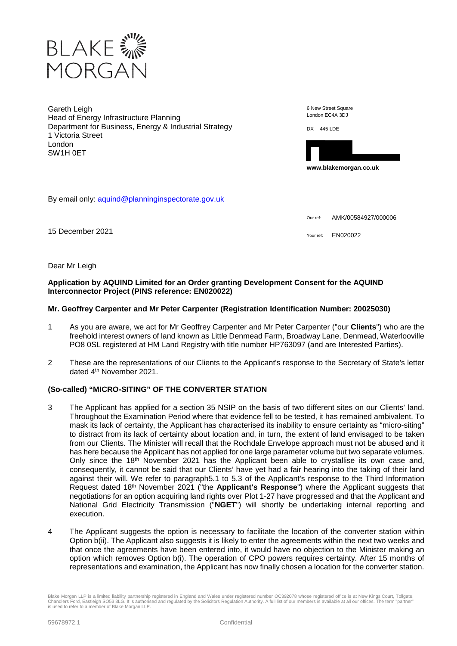

Gareth Leigh Head of Energy Infrastructure Planning Department for Business, Energy & Industrial Strategy 1 Victoria Street London SW1H 0ET

6 New Street Square London EC4A 3DJ

DX 445 LDE



**www.blakemorgan.co.uk** 

By email only: aquind@planninginspectorate.gov.uk

Our ref: AMK/00584927/000006

15 December 2021 **15 December 2021** 

Dear Mr Leigh

# **Application by AQUIND Limited for an Order granting Development Consent for the AQUIND Interconnector Project (PINS reference: EN020022)**

# **Mr. Geoffrey Carpenter and Mr Peter Carpenter (Registration Identification Number: 20025030)**

- 1 As you are aware, we act for Mr Geoffrey Carpenter and Mr Peter Carpenter ("our **Clients**") who are the freehold interest owners of land known as Little Denmead Farm, Broadway Lane, Denmead, Waterlooville PO8 0SL registered at HM Land Registry with title number HP763097 (and are Interested Parties).
- 2 These are the representations of our Clients to the Applicant's response to the Secretary of State's letter dated 4th November 2021.

# **(So-called) "MICRO-SITING" OF THE CONVERTER STATION**

- 3 The Applicant has applied for a section 35 NSIP on the basis of two different sites on our Clients' land. Throughout the Examination Period where that evidence fell to be tested, it has remained ambivalent. To mask its lack of certainty, the Applicant has characterised its inability to ensure certainty as "micro-siting" to distract from its lack of certainty about location and, in turn, the extent of land envisaged to be taken from our Clients. The Minister will recall that the Rochdale Envelope approach must not be abused and it has here because the Applicant has not applied for one large parameter volume but two separate volumes. Only since the 18<sup>th</sup> November 2021 has the Applicant been able to crystallise its own case and, consequently, it cannot be said that our Clients' have yet had a fair hearing into the taking of their land against their will. We refer to paragraph5.1 to 5.3 of the Applicant's response to the Third Information Request dated 18th November 2021 ("the **Applicant's Response**") where the Applicant suggests that negotiations for an option acquiring land rights over Plot 1-27 have progressed and that the Applicant and National Grid Electricity Transmission ("**NGET**") will shortly be undertaking internal reporting and execution.
- 4 The Applicant suggests the option is necessary to facilitate the location of the converter station within Option b(ii). The Applicant also suggests it is likely to enter the agreements within the next two weeks and that once the agreements have been entered into, it would have no objection to the Minister making an option which removes Option b(i). The operation of CPO powers requires certainty. After 15 months of representations and examination, the Applicant has now finally chosen a location for the converter station.

Blake Morgan LLP is a limited liability partnership registered in England and Wales under registered number OC392078 whose registered office is at New Kings Court, Tollgate, Chandlers Ford, Eastleigh SO53 3LG. It is authorised and regulated by the Solicitors Regulation Authority. A full list of our members is available at all our offices. The term "partner" is used to refer to a member of Blake Morgan LLP.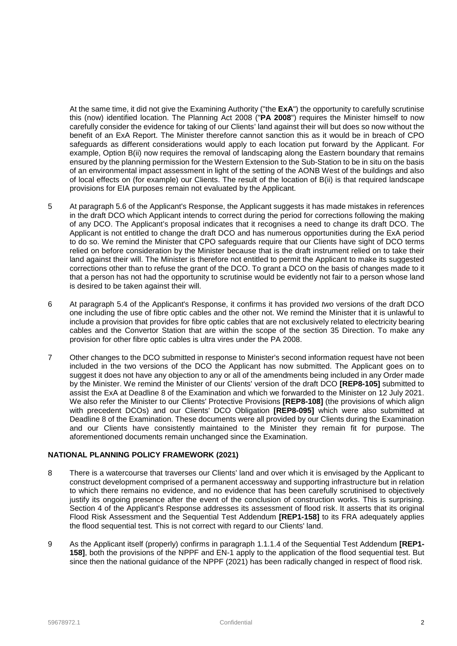At the same time, it did not give the Examining Authority ("the **ExA**") the opportunity to carefully scrutinise this (now) identified location. The Planning Act 2008 ("**PA 2008**") requires the Minister himself to now carefully consider the evidence for taking of our Clients' land against their will but does so now without the benefit of an ExA Report. The Minister therefore cannot sanction this as it would be in breach of CPO safeguards as different considerations would apply to each location put forward by the Applicant. For example, Option B(ii) now requires the removal of landscaping along the Eastern boundary that remains ensured by the planning permission for the Western Extension to the Sub-Station to be in situ on the basis of an environmental impact assessment in light of the setting of the AONB West of the buildings and also of local effects on (for example) our Clients. The result of the location of B(ii) is that required landscape provisions for EIA purposes remain not evaluated by the Applicant.

- 5 At paragraph 5.6 of the Applicant's Response, the Applicant suggests it has made mistakes in references in the draft DCO which Applicant intends to correct during the period for corrections following the making of any DCO. The Applicant's proposal indicates that it recognises a need to change its draft DCO. The Applicant is not entitled to change the draft DCO and has numerous opportunities during the ExA period to do so. We remind the Minister that CPO safeguards require that our Clients have sight of DCO terms relied on before consideration by the Minister because that is the draft instrument relied on to take their land against their will. The Minister is therefore not entitled to permit the Applicant to make its suggested corrections other than to refuse the grant of the DCO. To grant a DCO on the basis of changes made to it that a person has not had the opportunity to scrutinise would be evidently not fair to a person whose land is desired to be taken against their will.
- 6 At paragraph 5.4 of the Applicant's Response, it confirms it has provided *two* versions of the draft DCO one including the use of fibre optic cables and the other not. We remind the Minister that it is unlawful to include a provision that provides for fibre optic cables that are not exclusively related to electricity bearing cables and the Convertor Station that are within the scope of the section 35 Direction. To make any provision for other fibre optic cables is ultra vires under the PA 2008.
- 7 Other changes to the DCO submitted in response to Minister's second information request have not been included in the two versions of the DCO the Applicant has now submitted. The Applicant goes on to suggest it does not have any objection to any or all of the amendments being included in any Order made by the Minister. We remind the Minister of our Clients' version of the draft DCO **[REP8-105]** submitted to assist the ExA at Deadline 8 of the Examination and which we forwarded to the Minister on 12 July 2021. We also refer the Minister to our Clients' Protective Provisions **[REP8-108]** (the provisions of which align with precedent DCOs) and our Clients' DCO Obligation **[REP8-095]** which were also submitted at Deadline 8 of the Examination. These documents were all provided by our Clients during the Examination and our Clients have consistently maintained to the Minister they remain fit for purpose. The aforementioned documents remain unchanged since the Examination.

# **NATIONAL PLANNING POLICY FRAMEWORK (2021)**

- 8 There is a watercourse that traverses our Clients' land and over which it is envisaged by the Applicant to construct development comprised of a permanent accessway and supporting infrastructure but in relation to which there remains no evidence, and no evidence that has been carefully scrutinised to objectively justify its ongoing presence after the event of the conclusion of construction works. This is surprising. Section 4 of the Applicant's Response addresses its assessment of flood risk. It asserts that its original Flood Risk Assessment and the Sequential Test Addendum **[REP1-158]** to its FRA adequately applies the flood sequential test. This is not correct with regard to our Clients' land.
- 9 As the Applicant itself (properly) confirms in paragraph 1.1.1.4 of the Sequential Test Addendum **[REP1- 158]**, both the provisions of the NPPF and EN-1 apply to the application of the flood sequential test. But since then the national guidance of the NPPF (2021) has been radically changed in respect of flood risk.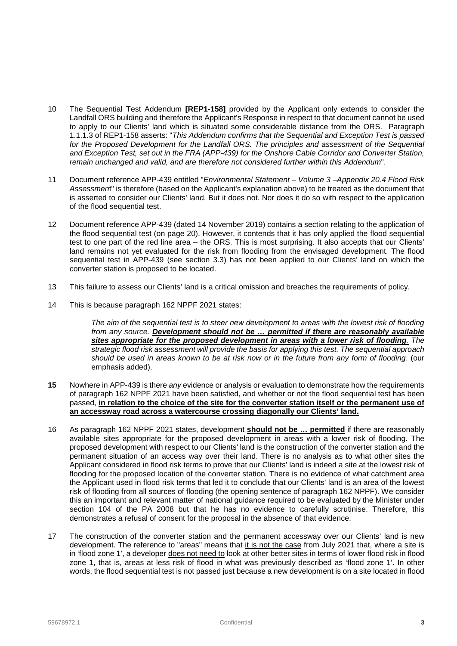- 10 The Sequential Test Addendum **[REP1-158]** provided by the Applicant only extends to consider the Landfall ORS building and therefore the Applicant's Response in respect to that document cannot be used to apply to our Clients' land which is situated some considerable distance from the ORS. Paragraph 1.1.1.3 of REP1-158 asserts: "*This Addendum confirms that the Sequential and Exception Test is passed*  for the Proposed Development for the Landfall ORS. The principles and assessment of the Sequential *and Exception Test, set out in the FRA (APP-439) for the Onshore Cable Corridor and Converter Station, remain unchanged and valid, and are therefore not considered further within this Addendum*".
- 11 Document reference APP-439 entitled "*Environmental Statement Volume 3 –Appendix 20.4 Flood Risk Assessmen*t" is therefore (based on the Applicant's explanation above) to be treated as the document that is asserted to consider our Clients' land. But it does not. Nor does it do so with respect to the application of the flood sequential test.
- 12 Document reference APP-439 (dated 14 November 2019) contains a section relating to the application of the flood sequential test (on page 20). However, it contends that it has only applied the flood sequential test to one part of the red line area – the ORS. This is most surprising. It also accepts that our Clients' land remains not yet evaluated for the risk from flooding from the envisaged development. The flood sequential test in APP-439 (see section 3.3) has not been applied to our Clients' land on which the converter station is proposed to be located.
- 13 This failure to assess our Clients' land is a critical omission and breaches the requirements of policy.
- 14 This is because paragraph 162 NPPF 2021 states:

*The aim of the sequential test is to steer new development to areas with the lowest risk of flooding from any source. Development should not be … permitted if there are reasonably available sites appropriate for the proposed development in areas with a lower risk of flooding. The strategic flood risk assessment will provide the basis for applying this test. The sequential approach should be used in areas known to be at risk now or in the future from any form of flooding*. (our emphasis added).

- **15** Nowhere in APP-439 is there *any* evidence or analysis or evaluation to demonstrate how the requirements of paragraph 162 NPPF 2021 have been satisfied, and whether or not the flood sequential test has been passed, **in relation to the choice of the site for the converter station itself or the permanent use of an accessway road across a watercourse crossing diagonally our Clients' land.**
- 16 As paragraph 162 NPPF 2021 states, development **should not be … permitted** if there are reasonably available sites appropriate for the proposed development in areas with a lower risk of flooding. The proposed development with respect to our Clients' land is the construction of the converter station and the permanent situation of an access way over their land. There is no analysis as to what other sites the Applicant considered in flood risk terms to prove that our Clients' land is indeed a site at the lowest risk of flooding for the proposed location of the converter station. There is no evidence of what catchment area the Applicant used in flood risk terms that led it to conclude that our Clients' land is an area of the lowest risk of flooding from all sources of flooding (the opening sentence of paragraph 162 NPPF). We consider this an important and relevant matter of national guidance required to be evaluated by the Minister under section 104 of the PA 2008 but that he has no evidence to carefully scrutinise. Therefore, this demonstrates a refusal of consent for the proposal in the absence of that evidence.
- 17 The construction of the converter station and the permanent accessway over our Clients' land is new development. The reference to "areas" means that it is not the case from July 2021 that, where a site is in 'flood zone 1', a developer does not need to look at other better sites in terms of lower flood risk in flood zone 1, that is, areas at less risk of flood in what was previously described as 'flood zone 1'. In other words, the flood sequential test is not passed just because a new development is on a site located in flood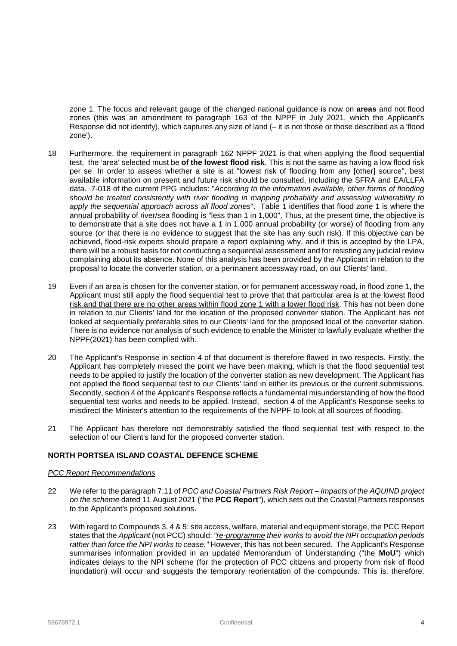zone 1. The focus and relevant gauge of the changed national guidance is now on **areas** and not flood zones (this was an amendment to paragraph 163 of the NPPF in July 2021, which the Applicant's Response did not identify), which captures any size of land (– it is not those or those described as a 'flood zone').

- 18 Furthermore, the requirement in paragraph 162 NPPF 2021 is that when applying the flood sequential test, the 'area' selected must be **of the lowest flood risk**. This is not the same as having a low flood risk per se. In order to assess whether a site is at "lowest risk of flooding from any [other] source", best available information on present and future risk should be consulted, including the SFRA and EA/LLFA data. 7-018 of the current PPG includes: "*According to the information available, other forms of flooding should be treated consistently with river flooding in mapping probability and assessing vulnerability to apply the sequential approach across all flood zones*". Table 1 identifies that flood zone 1 is where the annual probability of river/sea flooding is "less than 1 in 1,000". Thus, at the present time, the objective is to demonstrate that a site does not have a 1 in 1,000 annual probability (or worse) of flooding from any source (or that there is no evidence to suggest that the site has any such risk). If this objective can be achieved, flood-risk experts should prepare a report explaining why, and if this is accepted by the LPA, there will be a robust basis for not conducting a sequential assessment and for resisting any judicial review complaining about its absence. None of this analysis has been provided by the Applicant in relation to the proposal to locate the converter station, or a permanent accessway road, on our Clients' land.
- 19 Even if an area is chosen for the converter station, or for permanent accessway road, in flood zone 1, the Applicant must still apply the flood sequential test to prove that that particular area is at the lowest flood risk and that there are no other areas within flood zone 1 with a lower flood risk. This has not been done in relation to our Clients' land for the location of the proposed converter station. The Applicant has not looked at sequentially preferable sites to our Clients' land for the proposed local of the converter station. There is no evidence nor analysis of such evidence to enable the Minister to lawfully evaluate whether the NPPF(2021) has been complied with.
- 20 The Applicant's Response in section 4 of that document is therefore flawed in two respects. Firstly, the Applicant has completely missed the point we have been making, which is that the flood sequential test needs to be applied to justify the location of the converter station as new development. The Applicant has not applied the flood sequential test to our Clients' land in either its previous or the current submissions. Secondly, section 4 of the Applicant's Response reflects a fundamental misunderstanding of how the flood sequential test works and needs to be applied. Instead, section 4 of the Applicant's Response seeks to misdirect the Minister's attention to the requirements of the NPPF to look at all sources of flooding.
- 21 The Applicant has therefore not demonstrably satisfied the flood sequential test with respect to the selection of our Client's land for the proposed converter station.

# **NORTH PORTSEA ISLAND COASTAL DEFENCE SCHEME**

### *PCC Report Recommendations*

- 22 We refer to the paragraph 7.11 of *PCC and Coastal Partners Risk Report Impacts of the AQUIND project on the scheme* dated 11 August 2021 ("the **PCC Report**"), which sets out the Coastal Partners responses to the Applicant's proposed solutions.
- 23 With regard to Compounds 3, 4 & 5: site access, welfare, material and equipment storage, the PCC Report states that the *Applicant* (not PCC) should: *"re-programme their works to avoid the NPI occupation periods rather than force the NPI works to cease."* However, this has not been secured. The Applicant's Response summarises information provided in an updated Memorandum of Understanding ("the **MoU**") which indicates delays to the NPI scheme (for the protection of PCC citizens and property from risk of flood inundation) will occur and suggests the temporary reorientation of the compounds. This is, therefore,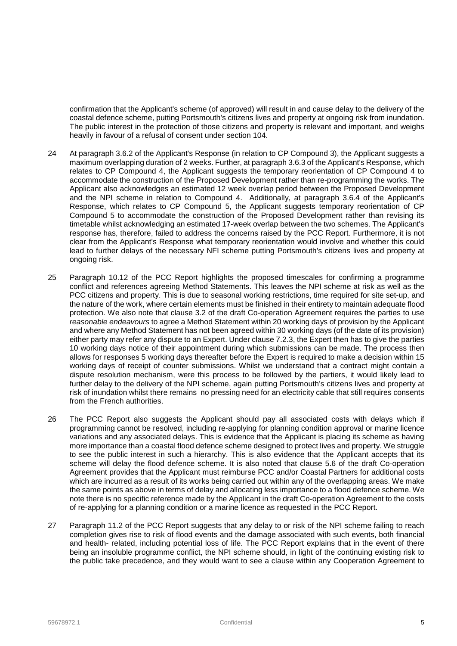confirmation that the Applicant's scheme (of approved) will result in and cause delay to the delivery of the coastal defence scheme, putting Portsmouth's citizens lives and property at ongoing risk from inundation. The public interest in the protection of those citizens and property is relevant and important, and weighs heavily in favour of a refusal of consent under section 104.

- 24 At paragraph 3.6.2 of the Applicant's Response (in relation to CP Compound 3), the Applicant suggests a maximum overlapping duration of 2 weeks. Further, at paragraph 3.6.3 of the Applicant's Response, which relates to CP Compound 4, the Applicant suggests the temporary reorientation of CP Compound 4 to accommodate the construction of the Proposed Development rather than re-programming the works. The Applicant also acknowledges an estimated 12 week overlap period between the Proposed Development and the NPI scheme in relation to Compound 4. Additionally, at paragraph 3.6.4 of the Applicant's Response, which relates to CP Compound 5, the Applicant suggests temporary reorientation of CP Compound 5 to accommodate the construction of the Proposed Development rather than revising its timetable whilst acknowledging an estimated 17-week overlap between the two schemes. The Applicant's response has, therefore, failed to address the concerns raised by the PCC Report. Furthermore, it is not clear from the Applicant's Response what temporary reorientation would involve and whether this could lead to further delays of the necessary NFI scheme putting Portsmouth's citizens lives and property at ongoing risk.
- 25 Paragraph 10.12 of the PCC Report highlights the proposed timescales for confirming a programme conflict and references agreeing Method Statements. This leaves the NPI scheme at risk as well as the PCC citizens and property. This is due to seasonal working restrictions, time required for site set-up, and the nature of the work, where certain elements must be finished in their entirety to maintain adequate flood protection. We also note that clause 3.2 of the draft Co-operation Agreement requires the parties to use *reasonable endeavours* to agree a Method Statement within 20 working days of provision by the Applicant and where any Method Statement has not been agreed within 30 working days (of the date of its provision) either party may refer any dispute to an Expert. Under clause 7.2.3, the Expert then has to give the parties 10 working days notice of their appointment during which submissions can be made. The process then allows for responses 5 working days thereafter before the Expert is required to make a decision within 15 working days of receipt of counter submissions. Whilst we understand that a contract might contain a dispute resolution mechanism, were this process to be followed by the partiers, it would likely lead to further delay to the delivery of the NPI scheme, again putting Portsmouth's citizens lives and property at risk of inundation whilst there remains no pressing need for an electricity cable that still requires consents from the French authorities.
- 26 The PCC Report also suggests the Applicant should pay all associated costs with delays which if programming cannot be resolved, including re-applying for planning condition approval or marine licence variations and any associated delays. This is evidence that the Applicant is placing its scheme as having more importance than a coastal flood defence scheme designed to protect lives and property. We struggle to see the public interest in such a hierarchy. This is also evidence that the Applicant accepts that its scheme will delay the flood defence scheme. It is also noted that clause 5.6 of the draft Co-operation Agreement provides that the Applicant must reimburse PCC and/or Coastal Partners for additional costs which are incurred as a result of its works being carried out within any of the overlapping areas. We make the same points as above in terms of delay and allocating less importance to a flood defence scheme. We note there is no specific reference made by the Applicant in the draft Co-operation Agreement to the costs of re-applying for a planning condition or a marine licence as requested in the PCC Report.
- 27 Paragraph 11.2 of the PCC Report suggests that any delay to or risk of the NPI scheme failing to reach completion gives rise to risk of flood events and the damage associated with such events, both financial and health- related, including potential loss of life. The PCC Report explains that in the event of there being an insoluble programme conflict, the NPI scheme should, in light of the continuing existing risk to the public take precedence, and they would want to see a clause within any Cooperation Agreement to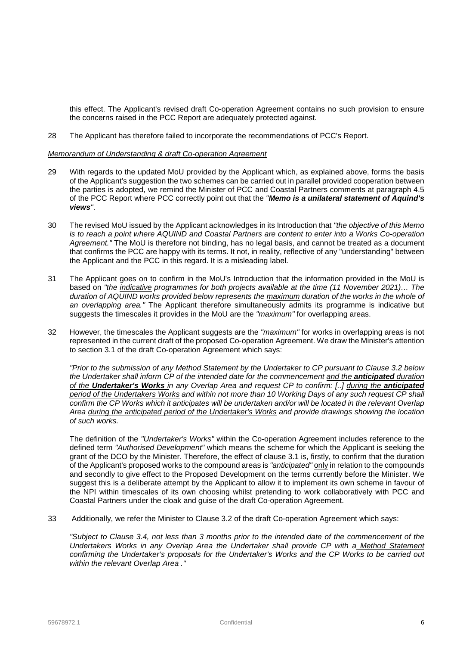this effect. The Applicant's revised draft Co-operation Agreement contains no such provision to ensure the concerns raised in the PCC Report are adequately protected against.

28 The Applicant has therefore failed to incorporate the recommendations of PCC's Report.

#### *Memorandum of Understanding & draft Co-operation Agreement*

- 29 With regards to the updated MoU provided by the Applicant which, as explained above, forms the basis of the Applicant's suggestion the two schemes can be carried out in parallel provided cooperation between the parties is adopted, we remind the Minister of PCC and Coastal Partners comments at paragraph 4.5 of the PCC Report where PCC correctly point out that the *"Memo is a unilateral statement of Aquind's views"*.
- 30 The revised MoU issued by the Applicant acknowledges in its Introduction that *"the objective of this Memo is to reach a point where AQUIND and Coastal Partners are content to enter into a Works Co-operation Agreement."* The MoU is therefore not binding, has no legal basis, and cannot be treated as a document that confirms the PCC are happy with its terms. It not, in reality, reflective of any "understanding" between the Applicant and the PCC in this regard. It is a misleading label.
- 31 The Applicant goes on to confirm in the MoU's Introduction that the information provided in the MoU is based on *"the indicative programmes for both projects available at the time (11 November 2021)… The duration of AQUIND works provided below represents the maximum duration of the works in the whole of an overlapping area."* The Applicant therefore simultaneously admits its programme is indicative but suggests the timescales it provides in the MoU are the *"maximum"* for overlapping areas.
- 32 However, the timescales the Applicant suggests are the *"maximum"* for works in overlapping areas is not represented in the current draft of the proposed Co-operation Agreement. We draw the Minister's attention to section 3.1 of the draft Co-operation Agreement which says:

*"Prior to the submission of any Method Statement by the Undertaker to CP pursuant to Clause 3.2 below the Undertaker shall inform CP of the intended date for the commencement and the anticipated duration of the Undertaker's Works in any Overlap Area and request CP to confirm: [..] during the anticipated period of the Undertakers Works and within not more than 10 Working Days of any such request CP shall confirm the CP Works which it anticipates will be undertaken and/or will be located in the relevant Overlap Area during the anticipated period of the Undertaker's Works and provide drawings showing the location of such works.* 

The definition of the *"Undertaker's Works"* within the Co-operation Agreement includes reference to the defined term *"Authorised Development"* which means the scheme for which the Applicant is seeking the grant of the DCO by the Minister. Therefore, the effect of clause 3.1 is, firstly, to confirm that the duration of the Applicant's proposed works to the compound areas is *"anticipated"* only in relation to the compounds and secondly to give effect to the Proposed Development on the terms currently before the Minister. We suggest this is a deliberate attempt by the Applicant to allow it to implement its own scheme in favour of the NPI within timescales of its own choosing whilst pretending to work collaboratively with PCC and Coastal Partners under the cloak and guise of the draft Co-operation Agreement.

33 Additionally, we refer the Minister to Clause 3.2 of the draft Co-operation Agreement which says:

*"Subject to Clause 3.4, not less than 3 months prior to the intended date of the commencement of the Undertakers Works in any Overlap Area the Undertaker shall provide CP with a Method Statement confirming the Undertaker's proposals for the Undertaker's Works and the CP Works to be carried out within the relevant Overlap Area ."*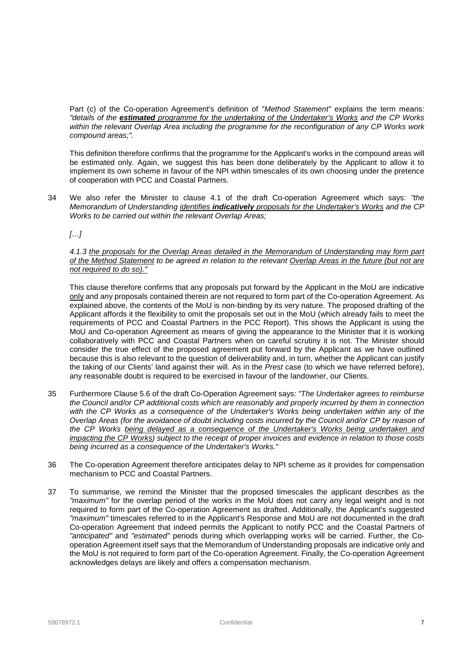Part (c) of the Co-operation Agreement's definition of "*Method Statement"* explains the term means: *"details of the estimated programme for the undertaking of the Undertaker's Works and the CP Works within the relevant Overlap Area including the programme for the reconfiguration of any CP Works work compound areas;".*

This definition therefore confirms that the programme for the Applicant's works in the compound areas will be estimated only. Again, we suggest this has been done deliberately by the Applicant to allow it to implement its own scheme in favour of the NPI within timescales of its own choosing under the pretence of cooperation with PCC and Coastal Partners.

34 We also refer the Minister to clause 4.1 of the draft Co-operation Agreement which says: *"the Memorandum of Understanding identifies indicatively proposals for the Undertaker's Works and the CP Works to be carried out within the relevant Overlap Areas;* 

*[…]*

*4.1.3 the proposals for the Overlap Areas detailed in the Memorandum of Understanding may form part of the Method Statement to be agreed in relation to the relevant Overlap Areas in the future (but not are not required to do so)."*

This clause therefore confirms that any proposals put forward by the Applicant in the MoU are indicative only and any proposals contained therein are not required to form part of the Co-operation Agreement. As explained above, the contents of the MoU is non-binding by its very nature. The proposed drafting of the Applicant affords it the flexibility to omit the proposals set out in the MoU (which already fails to meet the requirements of PCC and Coastal Partners in the PCC Report). This shows the Applicant is using the MoU and Co-operation Agreement as means of giving the appearance to the Minister that it is working collaboratively with PCC and Coastal Partners when on careful scrutiny it is not. The Minister should consider the true effect of the proposed agreement put forward by the Applicant as we have outlined because this is also relevant to the question of deliverability and, in turn, whether the Applicant can justify the taking of our Clients' land against their will. As in the *Prest* case (to which we have referred before), any reasonable doubt is required to be exercised in favour of the landowner, our Clients.

- 35 Furthermore Clause 5.6 of the draft Co-Operation Agreement says: *"The Undertaker agrees to reimburse the Council and/or CP additional costs which are reasonably and properly incurred by them in connection with the CP Works as a consequence of the Undertaker's Works being undertaken within any of the Overlap Areas (for the avoidance of doubt including costs incurred by the Council and/or CP by reason of the CP Works being delayed as a consequence of the Undertaker's Works being undertaken and impacting the CP Works) subject to the receipt of proper invoices and evidence in relation to those costs being incurred as a consequence of the Undertaker's Works."*
- 36 The Co-operation Agreement therefore anticipates delay to NPI scheme as it provides for compensation mechanism to PCC and Coastal Partners.
- 37 To summarise, we remind the Minister that the proposed timescales the applicant describes as the *"maximum"* for the overlap period of the works in the MoU does not carry any legal weight and is not required to form part of the Co-operation Agreement as drafted. Additionally, the Applicant's suggested *"maximum"* timescales referred to in the Applicant's Response and MoU are not documented in the draft Co-operation Agreement that indeed permits the Applicant to notify PCC and the Coastal Partners of *"anticipated"* and *"estimated"* periods during which overlapping works will be carried. Further, the Cooperation Agreement itself says that the Memorandum of Understanding proposals are indicative only and the MoU is not required to form part of the Co-operation Agreement. Finally, the Co-operation Agreement acknowledges delays are likely and offers a compensation mechanism.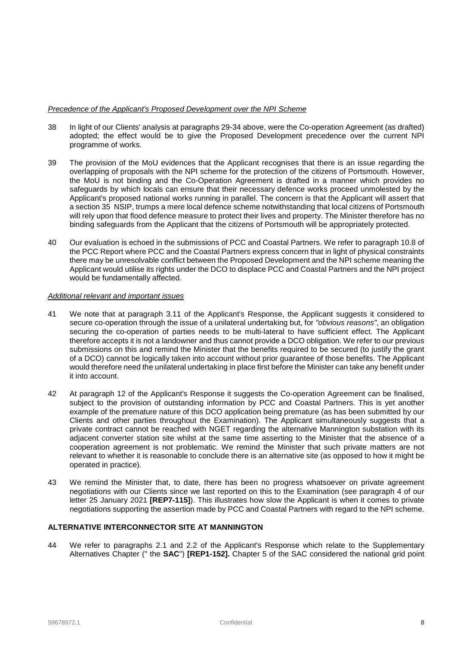### *Precedence of the Applicant's Proposed Development over the NPI Scheme*

- 38 In light of our Clients' analysis at paragraphs 29-34 above, were the Co-operation Agreement (as drafted) adopted; the effect would be to give the Proposed Development precedence over the current NPI programme of works.
- 39 The provision of the MoU evidences that the Applicant recognises that there is an issue regarding the overlapping of proposals with the NPI scheme for the protection of the citizens of Portsmouth. However, the MoU is not binding and the Co-Operation Agreement is drafted in a manner which provides no safeguards by which locals can ensure that their necessary defence works proceed unmolested by the Applicant's proposed national works running in parallel. The concern is that the Applicant will assert that a section 35 NSIP, trumps a mere local defence scheme notwithstanding that local citizens of Portsmouth will rely upon that flood defence measure to protect their lives and property. The Minister therefore has no binding safeguards from the Applicant that the citizens of Portsmouth will be appropriately protected.
- 40 Our evaluation is echoed in the submissions of PCC and Coastal Partners. We refer to paragraph 10.8 of the PCC Report where PCC and the Coastal Partners express concern that in light of physical constraints there may be unresolvable conflict between the Proposed Development and the NPI scheme meaning the Applicant would utilise its rights under the DCO to displace PCC and Coastal Partners and the NPI project would be fundamentally affected.

### *Additional relevant and important issues*

- 41 We note that at paragraph 3.11 of the Applicant's Response, the Applicant suggests it considered to secure co-operation through the issue of a unilateral undertaking but, for *"obvious reasons"*, an obligation securing the co-operation of parties needs to be multi-lateral to have sufficient effect. The Applicant therefore accepts it is not a landowner and thus cannot provide a DCO obligation. We refer to our previous submissions on this and remind the Minister that the benefits required to be secured (to justify the grant of a DCO) cannot be logically taken into account without prior guarantee of those benefits. The Applicant would therefore need the unilateral undertaking in place first before the Minister can take any benefit under it into account.
- 42 At paragraph 12 of the Applicant's Response it suggests the Co-operation Agreement can be finalised, subject to the provision of outstanding information by PCC and Coastal Partners. This is yet another example of the premature nature of this DCO application being premature (as has been submitted by our Clients and other parties throughout the Examination). The Applicant simultaneously suggests that a private contract cannot be reached with NGET regarding the alternative Mannington substation with its adjacent converter station site whilst at the same time asserting to the Minister that the absence of a cooperation agreement is not problematic. We remind the Minister that such private matters are not relevant to whether it is reasonable to conclude there is an alternative site (as opposed to how it might be operated in practice).
- 43 We remind the Minister that, to date, there has been no progress whatsoever on private agreement negotiations with our Clients since we last reported on this to the Examination (see paragraph 4 of our letter 25 January 2021 **[REP7-115]**). This illustrates how slow the Applicant is when it comes to private negotiations supporting the assertion made by PCC and Coastal Partners with regard to the NPI scheme.

### **ALTERNATIVE INTERCONNECTOR SITE AT MANNINGTON**

44 We refer to paragraphs 2.1 and 2.2 of the Applicant's Response which relate to the Supplementary Alternatives Chapter (" the **SAC**") **[REP1-152].** Chapter 5 of the SAC considered the national grid point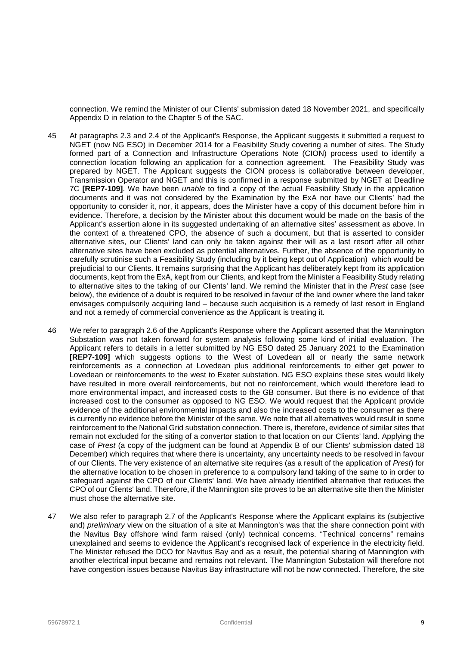connection. We remind the Minister of our Clients' submission dated 18 November 2021, and specifically Appendix D in relation to the Chapter 5 of the SAC.

- 45 At paragraphs 2.3 and 2.4 of the Applicant's Response, the Applicant suggests it submitted a request to NGET (now NG ESO) in December 2014 for a Feasibility Study covering a number of sites. The Study formed part of a Connection and Infrastructure Operations Note (CION) process used to identify a connection location following an application for a connection agreement. The Feasibility Study was prepared by NGET. The Applicant suggests the CION process is collaborative between developer, Transmission Operator and NGET and this is confirmed in a response submitted by NGET at Deadline 7C **[REP7-109]**. We have been *unable* to find a copy of the actual Feasibility Study in the application documents and it was not considered by the Examination by the ExA nor have our Clients' had the opportunity to consider it, nor, it appears, does the Minister have a copy of this document before him in evidence. Therefore, a decision by the Minister about this document would be made on the basis of the Applicant's assertion alone in its suggested undertaking of an alternative sites' assessment as above. In the context of a threatened CPO, the absence of such a document, but that is asserted to consider alternative sites, our Clients' land can only be taken against their will as a last resort after all other alternative sites have been excluded as potential alternatives. Further, the absence of the opportunity to carefully scrutinise such a Feasibility Study (including by it being kept out of Application) which would be prejudicial to our Clients. It remains surprising that the Applicant has deliberately kept from its application documents, kept from the ExA, kept from our Clients, and kept from the Minister a Feasibility Study relating to alternative sites to the taking of our Clients' land. We remind the Minister that in the *Prest* case (see below), the evidence of a doubt is required to be resolved in favour of the land owner where the land taker envisages compulsorily acquiring land – because such acquisition is a remedy of last resort in England and not a remedy of commercial convenience as the Applicant is treating it.
- 46 We refer to paragraph 2.6 of the Applicant's Response where the Applicant asserted that the Mannington Substation was not taken forward for system analysis following some kind of initial evaluation. The Applicant refers to details in a letter submitted by NG ESO dated 25 January 2021 to the Examination **[REP7-109]** which suggests options to the West of Lovedean all or nearly the same network reinforcements as a connection at Lovedean plus additional reinforcements to either get power to Lovedean or reinforcements to the west to Exeter substation. NG ESO explains these sites would likely have resulted in more overall reinforcements, but not no reinforcement, which would therefore lead to more environmental impact, and increased costs to the GB consumer. But there is no evidence of that increased cost to the consumer as opposed to NG ESO. We would request that the Applicant provide evidence of the additional environmental impacts and also the increased costs to the consumer as there is currently no evidence before the Minister of the same. We note that all alternatives would result in some reinforcement to the National Grid substation connection. There is, therefore, evidence of similar sites that remain not excluded for the siting of a convertor station to that location on our Clients' land. Applying the case of *Prest* (a copy of the judgment can be found at Appendix B of our Clients' submission dated 18 December) which requires that where there is uncertainty, any uncertainty needs to be resolved in favour of our Clients. The very existence of an alternative site requires (as a result of the application of *Prest*) for the alternative location to be chosen in preference to a compulsory land taking of the same to in order to safeguard against the CPO of our Clients' land. We have already identified alternative that reduces the CPO of our Clients' land. Therefore, if the Mannington site proves to be an alternative site then the Minister must chose the alternative site.
- 47 We also refer to paragraph 2.7 of the Applicant's Response where the Applicant explains its (subjective and) *preliminary* view on the situation of a site at Mannington's was that the share connection point with the Navitus Bay offshore wind farm raised (only) technical concerns. "Technical concerns" remains unexplained and seems to evidence the Applicant's recognised lack of experience in the electricity field. The Minister refused the DCO for Navitus Bay and as a result, the potential sharing of Mannington with another electrical input became and remains not relevant. The Mannington Substation will therefore not have congestion issues because Navitus Bay infrastructure will not be now connected. Therefore, the site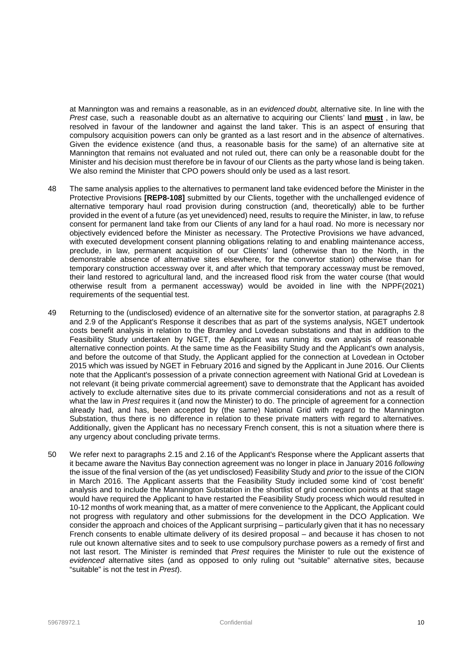at Mannington was and remains a reasonable, as in an *evidenced doubt,* alternative site. In line with the *Prest* case, such a reasonable doubt as an alternative to acquiring our Clients' land **must** , in law, be resolved in favour of the landowner and against the land taker. This is an aspect of ensuring that compulsory acquisition powers can only be granted as a last resort and in the *absence* of alternatives. Given the evidence existence (and thus, a reasonable basis for the same) of an alternative site at Mannington that remains not evaluated and not ruled out, there can only be a reasonable doubt for the Minister and his decision must therefore be in favour of our Clients as the party whose land is being taken. We also remind the Minister that CPO powers should only be used as a last resort.

- 48 The same analysis applies to the alternatives to permanent land take evidenced before the Minister in the Protective Provisions **[REP8-108]** submitted by our Clients, together with the unchallenged evidence of alternative temporary haul road provision during construction (and, theoretically) able to be further provided in the event of a future (as yet unevidenced) need, results to require the Minister, in law, to refuse consent for permanent land take from our Clients of any land for a haul road. No more is necessary nor objectively evidenced before the Minister as necessary. The Protective Provisions we have advanced, with executed development consent planning obligations relating to and enabling maintenance access, preclude, in law, permanent acquisition of our Clients' land (otherwise than to the North, in the demonstrable absence of alternative sites elsewhere, for the convertor station) otherwise than for temporary construction accessway over it, and after which that temporary accessway must be removed, their land restored to agricultural land, and the increased flood risk from the water course (that would otherwise result from a permanent accessway) would be avoided in line with the NPPF(2021) requirements of the sequential test.
- 49 Returning to the (undisclosed) evidence of an alternative site for the sonvertor station, at paragraphs 2.8 and 2.9 of the Applicant's Response it describes that as part of the systems analysis, NGET undertook costs benefit analysis in relation to the Bramley and Lovedean substations and that in addition to the Feasibility Study undertaken by NGET, the Applicant was running its own analysis of reasonable alternative connection points. At the same time as the Feasibility Study and the Applicant's own analysis, and before the outcome of that Study, the Applicant applied for the connection at Lovedean in October 2015 which was issued by NGET in February 2016 and signed by the Applicant in June 2016. Our Clients note that the Applicant's possession of a private connection agreement with National Grid at Lovedean is not relevant (it being private commercial agreement) save to demonstrate that the Applicant has avoided actively to exclude alternative sites due to its private commercial considerations and not as a result of what the law in *Prest* requires it (and now the Minister) to do. The principle of agreement for a connection already had, and has, been accepted by (the same) National Grid with regard to the Mannington Substation, thus there is no difference in relation to these private matters with regard to alternatives. Additionally, given the Applicant has no necessary French consent, this is not a situation where there is any urgency about concluding private terms.
- 50 We refer next to paragraphs 2.15 and 2.16 of the Applicant's Response where the Applicant asserts that it became aware the Navitus Bay connection agreement was no longer in place in January 2016 *following*  the issue of the final version of the (as yet undisclosed) Feasibility Study and *prior* to the issue of the CION in March 2016. The Applicant asserts that the Feasibility Study included some kind of 'cost benefit' analysis and to include the Mannington Substation in the shortlist of grid connection points at that stage would have required the Applicant to have restarted the Feasibility Study process which would resulted in 10-12 months of work meaning that, as a matter of mere convenience to the Applicant, the Applicant could not progress with regulatory and other submissions for the development in the DCO Application. We consider the approach and choices of the Applicant surprising – particularly given that it has no necessary French consents to enable ultimate delivery of its desired proposal – and because it has chosen to not rule out known alternative sites and to seek to use compulsory purchase powers as a remedy of first and not last resort. The Minister is reminded that *Prest* requires the Minister to rule out the existence of *evidenced* alternative sites (and as opposed to only ruling out "suitable" alternative sites, because "suitable" is not the test in *Prest*).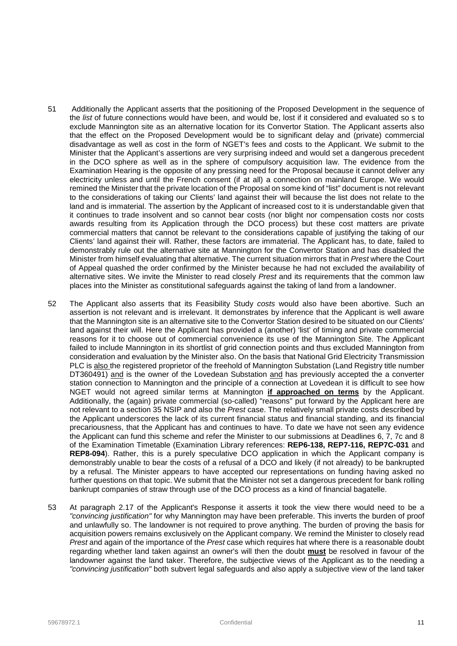- 51 Additionally the Applicant asserts that the positioning of the Proposed Development in the sequence of the *list* of future connections would have been, and would be, lost if it considered and evaluated so s to exclude Mannington site as an alternative location for its Convertor Station. The Applicant asserts also that the effect on the Proposed Development would be to significant delay and (private) commercial disadvantage as well as cost in the form of NGET's fees and costs to the Applicant. We submit to the Minister that the Applicant's assertions are very surprising indeed and would set a dangerous precedent in the DCO sphere as well as in the sphere of compulsory acquisition law. The evidence from the Examination Hearing is the opposite of any pressing need for the Proposal because it cannot deliver any electricity unless and until the French consent (if at all) a connection on mainland Europe. We would remined the Minister that the private location of the Proposal on some kind of "list" document is not relevant to the considerations of taking our Clients' land against their will because the list does not relate to the land and is immaterial. The assertion by the Applicant of increased cost to it is understandable given that it continues to trade insolvent and so cannot bear costs (nor blight nor compensation costs nor costs awards resulting from its Application through the DCO process) but these cost matters are private commercial matters that cannot be relevant to the considerations capable of justifying the taking of our Clients' land against their will. Rather, these factors are immaterial. The Applicant has, to date, failed to demonstrably rule out the alternative site at Mannington for the Convertor Station and has disabled the Minister from himself evaluating that alternative. The current situation mirrors that in *Prest* where the Court of Appeal quashed the order confirmed by the Minister because he had not excluded the availability of alternative sites. We invite the Minister to read closely *Prest* and its requirements that the common law places into the Minister as constitutional safeguards against the taking of land from a landowner.
- 52 The Applicant also asserts that its Feasibility Study *costs* would also have been abortive. Such an assertion is not relevant and is irrelevant. It demonstrates by inference that the Applicant is well aware that the Mannington site is an alternative site to the Convertor Station desired to be situated on our Clients' land against their will. Here the Applicant has provided a (another) 'list' of timing and private commercial reasons for it to choose out of commercial convenience its use of the Mannington Site. The Applicant failed to include Mannington in its shortlist of grid connection points and thus excluded Mannington from consideration and evaluation by the Minister also. On the basis that National Grid Electricity Transmission PLC is also the registered proprietor of the freehold of Mannington Substation (Land Registry title number DT360491) and is the owner of the Lovedean Substation and has previously accepted the a converter station connection to Mannington and the principle of a connection at Lovedean it is difficult to see how NGET would not agreed similar terms at Mannington **if approached on terms** by the Applicant. Additionally, the (again) private commercial (so-called) "reasons" put forward by the Applicant here are not relevant to a section 35 NSIP and also the *Prest* case. The relatively small private costs described by the Applicant underscores the lack of its current financial status and financial standing, and its financial precariousness, that the Applicant has and continues to have. To date we have not seen any evidence the Applicant can fund this scheme and refer the Minister to our submissions at Deadlines 6, 7, 7c and 8 of the Examination Timetable (Examination Library references: **REP6-138, REP7-116, REP7C-031** and **REP8-094**). Rather, this is a purely speculative DCO application in which the Applicant company is demonstrably unable to bear the costs of a refusal of a DCO and likely (if not already) to be bankrupted by a refusal. The Minister appears to have accepted our representations on funding having asked no further questions on that topic. We submit that the Minister not set a dangerous precedent for bank rolling bankrupt companies of straw through use of the DCO process as a kind of financial bagatelle.
- 53 At paragraph 2.17 of the Applicant's Response it asserts it took the view there would need to be a *"convincing justification"* for why Mannington may have been preferable. This inverts the burden of proof and unlawfully so. The landowner is not required to prove anything. The burden of proving the basis for acquisition powers remains exclusively on the Applicant company. We remind the Minister to closely read *Prest* and again of the importance of the *Prest* case which requires hat where there is a reasonable doubt regarding whether land taken against an owner's will then the doubt **must** be resolved in favour of the landowner against the land taker. Therefore, the subjective views of the Applicant as to the needing a *"convincing justification"* both subvert legal safeguards and also apply a subjective view of the land taker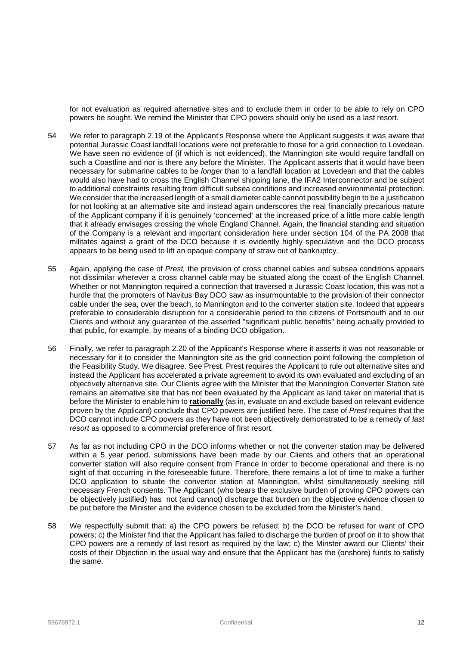for not evaluation as required alternative sites and to exclude them in order to be able to rely on CPO powers be sought. We remind the Minister that CPO powers should only be used as a last resort.

- 54 We refer to paragraph 2.19 of the Applicant's Response where the Applicant suggests it was aware that potential Jurassic Coast landfall locations were not preferable to those for a grid connection to Lovedean. We have seen no evidence of (if which is not evidenced), the Mannington site would require landfall on such a Coastline and nor is there any before the Minister. The Applicant asserts that it would have been necessary for submarine cables to be *longer* than to a landfall location at Lovedean and that the cables would also have had to cross the English Channel shipping lane, the IFA2 Interconnector and be subject to additional constraints resulting from difficult subsea conditions and increased environmental protection. We consider that the increased length of a small diameter cable cannot possibility begin to be a justification for not looking at an alternative site and instead again underscores the real financially precarious nature of the Applicant company if it is genuinely 'concerned' at the increased price of a little more cable length that it already envisages crossing the whole England Channel. Again, the financial standing and situation of the Company is a relevant and important consideration here under section 104 of the PA 2008 that militates against a grant of the DCO because it is evidently highly speculative and the DCO process appears to be being used to lift an opaque company of straw out of bankruptcy.
- 55 Again, applying the case of *Prest,* the provision of cross channel cables and subsea conditions appears not dissimilar wherever a cross channel cable may be situated along the coast of the English Channel. Whether or not Mannington required a connection that traversed a Jurassic Coast location, this was not a hurdle that the promoters of Navitus Bay DCO saw as insurmountable to the provision of their connector cable under the sea, over the beach, to Mannington and to the converter station site. Indeed that appears preferable to considerable disruption for a considerable period to the citizens of Portsmouth and to our Clients and without any guarantee of the asserted "significant public benefits" being actually provided to that public, for example, by means of a binding DCO obligation.
- 56 Finally, we refer to paragraph 2.20 of the Applicant's Response where it asserts it was not reasonable or necessary for it to consider the Mannington site as the grid connection point following the completion of the Feasibility Study. We disagree. See Prest. Prest requires the Applicant to rule out alternative sites and instead the Applicant has accelerated a private agreement to avoid its own evaluated and excluding of an objectively alternative site. Our Clients agree with the Minister that the Mannington Converter Station site remains an alternative site that has not been evaluated by the Applicant as land taker on material that is before the Minister to enable him to **rationally** (as in, evaluate on and exclude based on relevant evidence proven by the Applicant) conclude that CPO powers are justified here. The case of *Prest* requires that the DCO cannot include CPO powers as they have not been objectively demonstrated to be a remedy of *last resort* as opposed to a commercial preference of first resort.
- 57 As far as not including CPO in the DCO informs whether or not the converter station may be delivered within a 5 year period, submissions have been made by our Clients and others that an operational converter station will also require consent from France in order to become operational and there is no sight of that occurring in the foreseeable future. Therefore, there remains a lot of time to make a further DCO application to situate the convertor station at Mannington, whilst simultaneously seeking still necessary French consents. The Applicant (who bears the exclusive burden of proving CPO powers can be objectively justified) has not (and cannot) discharge that burden on the objective evidence chosen to be put before the Minister and the evidence chosen to be excluded from the Minister's hand.
- 58 We respectfully submit that: a) the CPO powers be refused; b) the DCO be refused for want of CPO powers; c) the Minister find that the Applicant has failed to discharge the burden of proof on it to show that CPO powers are a remedy of last resort as required by the law; c) the Minster award our Clients' their costs of their Objection in the usual way and ensure that the Applicant has the (onshore) funds to satisfy the same.